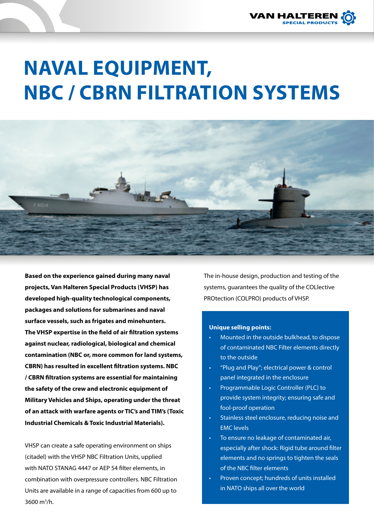

# **NAVAL EQUIPMENT, NBC / CBRN FILTRATION SYSTEMS**



**Based on the experience gained during many naval projects, Van Halteren Special Products (VHSP) has developed high-quality technological components, packages and solutions for submarines and naval surface vessels, such as frigates and minehunters. The VHSP expertise in the field of air filtration systems against nuclear, radiological, biological and chemical contamination (NBC or, more common for land systems, CBRN) has resulted in excellent filtration systems. NBC / CBRN filtration systems are essential for maintaining the safety of the crew and electronic equipment of Military Vehicles and Ships, operating under the threat of an attack with warfare agents or TIC's and TIM's (Toxic Industrial Chemicals & Toxic Industrial Materials).** 

VHSP can create a safe operating environment on ships (citadel) with the VHSP NBC Filtration Units, upplied with NATO STANAG 4447 or AEP 54 filter elements, in combination with overpressure controllers. NBC Filtration Units are available in a range of capacities from 600 up to 3600 m3 /h.

The in-house design, production and testing of the systems, guarantees the quality of the COLlective PROtection (COLPRO) products of VHSP.

#### **Unique selling points:**

- Mounted in the outside bulkhead, to dispose of contaminated NBC Filter elements directly to the outside
- "Plug and Play"; electrical power & control panel integrated in the enclosure
- Programmable Logic Controller (PLC) to provide system integrity; ensuring safe and fool-proof operation
- Stainless steel enclosure, reducing noise and EMC levels
- To ensure no leakage of contaminated air, especially after shock: Rigid tube around filter elements and no springs to tighten the seals of the NBC filter elements
- Proven concept; hundreds of units installed in NATO ships all over the world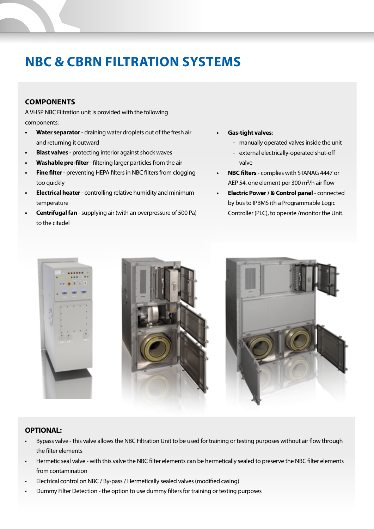# **NBC & CBRN FILTRATION SYSTEMS**

# **COMPONENTS**

A VHSP NBC Filtration unit is provided with the following components:

- **• Water separator** draining water droplets out of the fresh air and returning it outward
- **• Blast valves** protecting interior against shock waves
- **• Washable pre-filter** filtering larger particles from the air
- **• Fine filter** preventing HEPA filters in NBC filters from clogging too quickly
- **• Electrical heater** controlling relative humidity and minimum temperature
- **• Centrifugal fan** supplying air (with an overpressure of 500 Pa) to the citadel
- **• Gas-tight valves**:
	- manually operated valves inside the unit
	- external electrically-operated shut-off valve
- **• NBC filters** complies with STANAG 4447 or AEP 54, one element per 300 m3 /h air flow
- **• Electric Power / & Control panel** connected by bus to IPBMS ith a Programmable Logic Controller (PLC), to operate /monitor the Unit.



#### **OPTIONAL:**

- Bypass valve this valve allows the NBC Filtration Unit to be used for training or testing purposes without air flow through the filter elements
- Hermetic seal valve with this valve the NBC filter elements can be hermetically sealed to preserve the NBC filter elements from contamination
- Electrical control on NBC / By-pass / Hermetically sealed valves (modified casing)
- Dummy Filter Detection the option to use dummy filters for training or testing purposes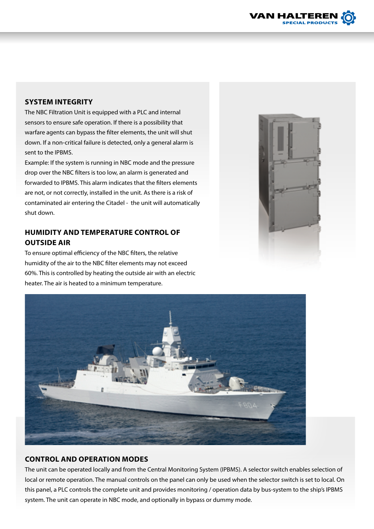

# **SYSTEM INTEGRITY**

The NBC Filtration Unit is equipped with a PLC and internal sensors to ensure safe operation. If there is a possibility that warfare agents can bypass the filter elements, the unit will shut down. If a non-critical failure is detected, only a general alarm is sent to the IPBMS.

Example: If the system is running in NBC mode and the pressure drop over the NBC filters is too low, an alarm is generated and forwarded to IPBMS. This alarm indicates that the filters elements are not, or not correctly, installed in the unit. As there is a risk of contaminated air entering the Citadel - the unit will automatically shut down.

# **HUMIDITY AND TEMPERATURE CONTROL OF OUTSIDE AIR**

To ensure optimal efficiency of the NBC filters, the relative humidity of the air to the NBC filter elements may not exceed 60%. This is controlled by heating the outside air with an electric heater. The air is heated to a minimum temperature.





### **CONTROL AND OPERATION MODES**

The unit can be operated locally and from the Central Monitoring System (IPBMS). A selector switch enables selection of local or remote operation. The manual controls on the panel can only be used when the selector switch is set to local. On this panel, a PLC controls the complete unit and provides monitoring / operation data by bus-system to the ship's IPBMS system. The unit can operate in NBC mode, and optionally in bypass or dummy mode.